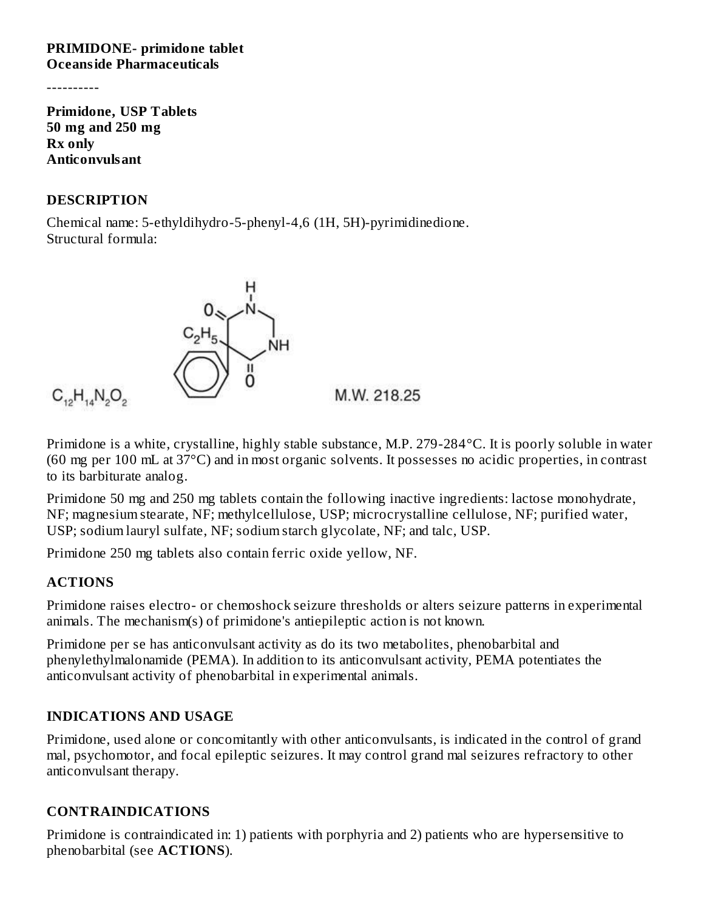#### **PRIMIDONE- primidone tablet Oceanside Pharmaceuticals**

----------

**Primidone, USP Tablets 50 mg and 250 mg Rx only Anticonvulsant**

#### **DESCRIPTION**

Chemical name: 5-ethyldihydro-5-phenyl-4,6 (1H, 5H)-pyrimidinedione. Structural formula:



Primidone is a white, crystalline, highly stable substance, M.P. 279-284°C. It is poorly soluble in water (60 mg per 100 mL at 37°C) and in most organic solvents. It possesses no acidic properties, in contrast to its barbiturate analog.

Primidone 50 mg and 250 mg tablets contain the following inactive ingredients: lactose monohydrate, NF; magnesium stearate, NF; methylcellulose, USP; microcrystalline cellulose, NF; purified water, USP; sodium lauryl sulfate, NF; sodium starch glycolate, NF; and talc, USP.

Primidone 250 mg tablets also contain ferric oxide yellow, NF.

#### **ACTIONS**

Primidone raises electro- or chemoshock seizure thresholds or alters seizure patterns in experimental animals. The mechanism(s) of primidone's antiepileptic action is not known.

Primidone per se has anticonvulsant activity as do its two metabolites, phenobarbital and phenylethylmalonamide (PEMA). In addition to its anticonvulsant activity, PEMA potentiates the anticonvulsant activity of phenobarbital in experimental animals.

## **INDICATIONS AND USAGE**

Primidone, used alone or concomitantly with other anticonvulsants, is indicated in the control of grand mal, psychomotor, and focal epileptic seizures. It may control grand mal seizures refractory to other anticonvulsant therapy.

## **CONTRAINDICATIONS**

Primidone is contraindicated in: 1) patients with porphyria and 2) patients who are hypersensitive to phenobarbital (see **ACTIONS**).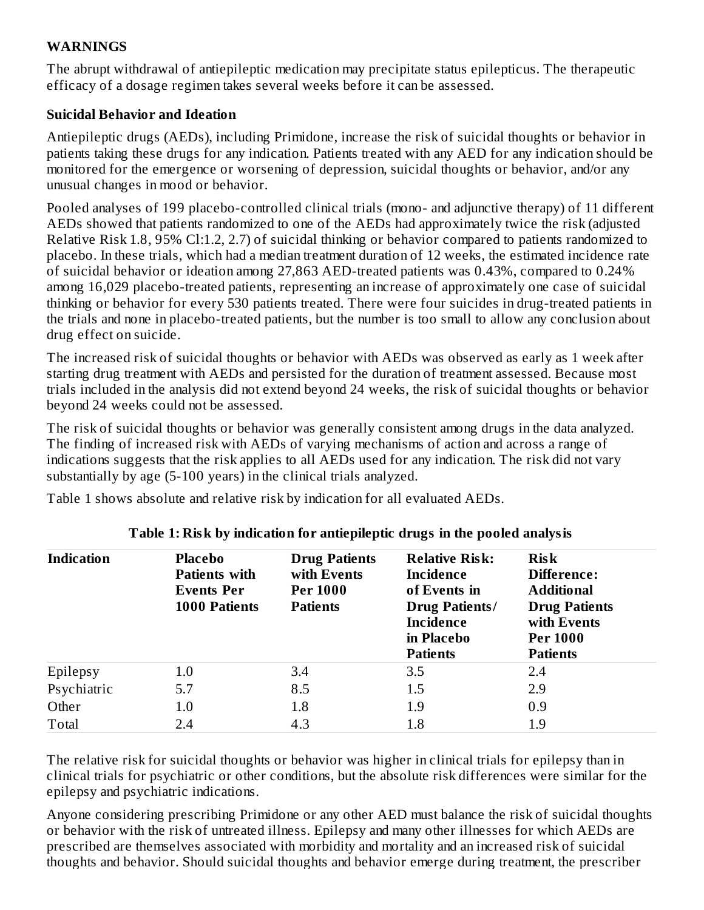#### **WARNINGS**

The abrupt withdrawal of antiepileptic medication may precipitate status epilepticus. The therapeutic efficacy of a dosage regimen takes several weeks before it can be assessed.

## **Suicidal Behavior and Ideation**

Antiepileptic drugs (AEDs), including Primidone, increase the risk of suicidal thoughts or behavior in patients taking these drugs for any indication. Patients treated with any AED for any indication should be monitored for the emergence or worsening of depression, suicidal thoughts or behavior, and/or any unusual changes in mood or behavior.

Pooled analyses of 199 placebo-controlled clinical trials (mono- and adjunctive therapy) of 11 different AEDs showed that patients randomized to one of the AEDs had approximately twice the risk (adjusted Relative Risk 1.8, 95% Cl:1.2, 2.7) of suicidal thinking or behavior compared to patients randomized to placebo. In these trials, which had a median treatment duration of 12 weeks, the estimated incidence rate of suicidal behavior or ideation among 27,863 AED-treated patients was 0.43%, compared to 0.24% among 16,029 placebo-treated patients, representing an increase of approximately one case of suicidal thinking or behavior for every 530 patients treated. There were four suicides in drug-treated patients in the trials and none in placebo-treated patients, but the number is too small to allow any conclusion about drug effect on suicide.

The increased risk of suicidal thoughts or behavior with AEDs was observed as early as 1 week after starting drug treatment with AEDs and persisted for the duration of treatment assessed. Because most trials included in the analysis did not extend beyond 24 weeks, the risk of suicidal thoughts or behavior beyond 24 weeks could not be assessed.

The risk of suicidal thoughts or behavior was generally consistent among drugs in the data analyzed. The finding of increased risk with AEDs of varying mechanisms of action and across a range of indications suggests that the risk applies to all AEDs used for any indication. The risk did not vary substantially by age (5-100 years) in the clinical trials analyzed.

Table 1 shows absolute and relative risk by indication for all evaluated AEDs.

| <b>Indication</b> | Placebo<br><b>Patients with</b><br><b>Events Per</b><br><b>1000 Patients</b> | <b>Drug Patients</b><br>with Events<br><b>Per 1000</b><br><b>Patients</b> | <b>Relative Risk:</b><br>Incidence<br>of Events in<br><b>Drug Patients/</b><br><b>Incidence</b><br>in Placebo<br><b>Patients</b> | <b>Risk</b><br>Difference:<br><b>Additional</b><br><b>Drug Patients</b><br>with Events<br><b>Per 1000</b><br><b>Patients</b> |
|-------------------|------------------------------------------------------------------------------|---------------------------------------------------------------------------|----------------------------------------------------------------------------------------------------------------------------------|------------------------------------------------------------------------------------------------------------------------------|
| Epilepsy          | 1.0                                                                          | 3.4                                                                       | 3.5                                                                                                                              | 2.4                                                                                                                          |
| Psychiatric       | 5.7                                                                          | 8.5                                                                       | 1.5                                                                                                                              | 2.9                                                                                                                          |
| Other             | 1.0                                                                          | 1.8                                                                       | 1.9                                                                                                                              | 0.9                                                                                                                          |
| Total             | 2.4                                                                          | 4.3                                                                       | 1.8                                                                                                                              | 1.9                                                                                                                          |

## **Table 1: Risk by indication for antiepileptic drugs in the pooled analysis**

The relative risk for suicidal thoughts or behavior was higher in clinical trials for epilepsy than in clinical trials for psychiatric or other conditions, but the absolute risk differences were similar for the epilepsy and psychiatric indications.

Anyone considering prescribing Primidone or any other AED must balance the risk of suicidal thoughts or behavior with the risk of untreated illness. Epilepsy and many other illnesses for which AEDs are prescribed are themselves associated with morbidity and mortality and an increased risk of suicidal thoughts and behavior. Should suicidal thoughts and behavior emerge during treatment, the prescriber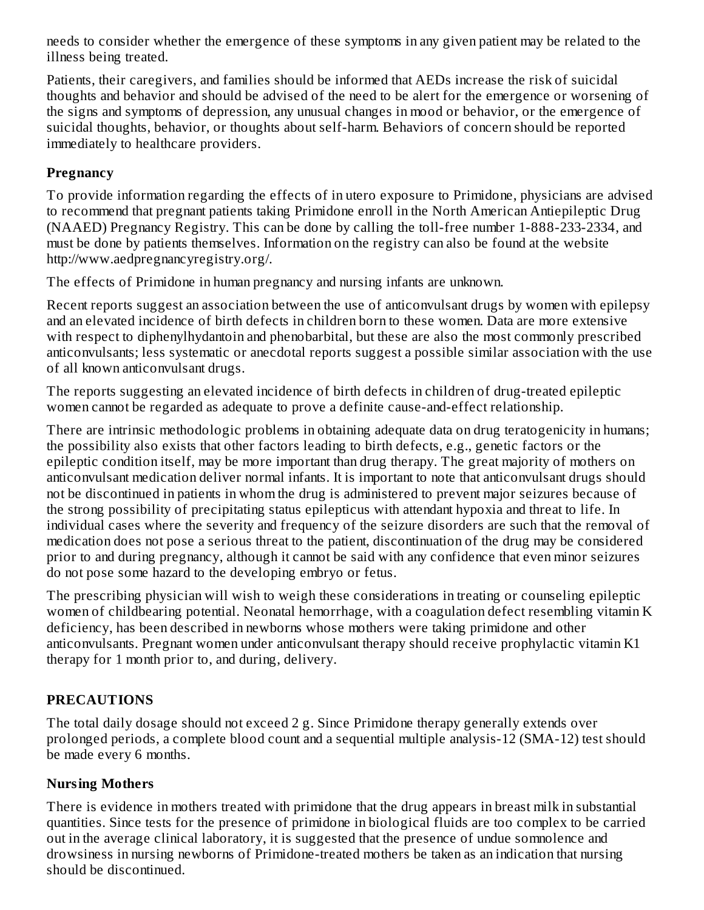needs to consider whether the emergence of these symptoms in any given patient may be related to the illness being treated.

Patients, their caregivers, and families should be informed that AEDs increase the risk of suicidal thoughts and behavior and should be advised of the need to be alert for the emergence or worsening of the signs and symptoms of depression, any unusual changes in mood or behavior, or the emergence of suicidal thoughts, behavior, or thoughts about self-harm. Behaviors of concern should be reported immediately to healthcare providers.

# **Pregnancy**

To provide information regarding the effects of in utero exposure to Primidone, physicians are advised to recommend that pregnant patients taking Primidone enroll in the North American Antiepileptic Drug (NAAED) Pregnancy Registry. This can be done by calling the toll-free number 1-888-233-2334, and must be done by patients themselves. Information on the registry can also be found at the website http://www.aedpregnancyregistry.org/.

The effects of Primidone in human pregnancy and nursing infants are unknown.

Recent reports suggest an association between the use of anticonvulsant drugs by women with epilepsy and an elevated incidence of birth defects in children born to these women. Data are more extensive with respect to diphenylhydantoin and phenobarbital, but these are also the most commonly prescribed anticonvulsants; less systematic or anecdotal reports suggest a possible similar association with the use of all known anticonvulsant drugs.

The reports suggesting an elevated incidence of birth defects in children of drug-treated epileptic women cannot be regarded as adequate to prove a definite cause-and-effect relationship.

There are intrinsic methodologic problems in obtaining adequate data on drug teratogenicity in humans; the possibility also exists that other factors leading to birth defects, e.g., genetic factors or the epileptic condition itself, may be more important than drug therapy. The great majority of mothers on anticonvulsant medication deliver normal infants. It is important to note that anticonvulsant drugs should not be discontinued in patients in whom the drug is administered to prevent major seizures because of the strong possibility of precipitating status epilepticus with attendant hypoxia and threat to life. In individual cases where the severity and frequency of the seizure disorders are such that the removal of medication does not pose a serious threat to the patient, discontinuation of the drug may be considered prior to and during pregnancy, although it cannot be said with any confidence that even minor seizures do not pose some hazard to the developing embryo or fetus.

The prescribing physician will wish to weigh these considerations in treating or counseling epileptic women of childbearing potential. Neonatal hemorrhage, with a coagulation defect resembling vitamin K deficiency, has been described in newborns whose mothers were taking primidone and other anticonvulsants. Pregnant women under anticonvulsant therapy should receive prophylactic vitamin K1 therapy for 1 month prior to, and during, delivery.

# **PRECAUTIONS**

The total daily dosage should not exceed 2 g. Since Primidone therapy generally extends over prolonged periods, a complete blood count and a sequential multiple analysis-12 (SMA-12) test should be made every 6 months.

# **Nursing Mothers**

There is evidence in mothers treated with primidone that the drug appears in breast milk in substantial quantities. Since tests for the presence of primidone in biological fluids are too complex to be carried out in the average clinical laboratory, it is suggested that the presence of undue somnolence and drowsiness in nursing newborns of Primidone-treated mothers be taken as an indication that nursing should be discontinued.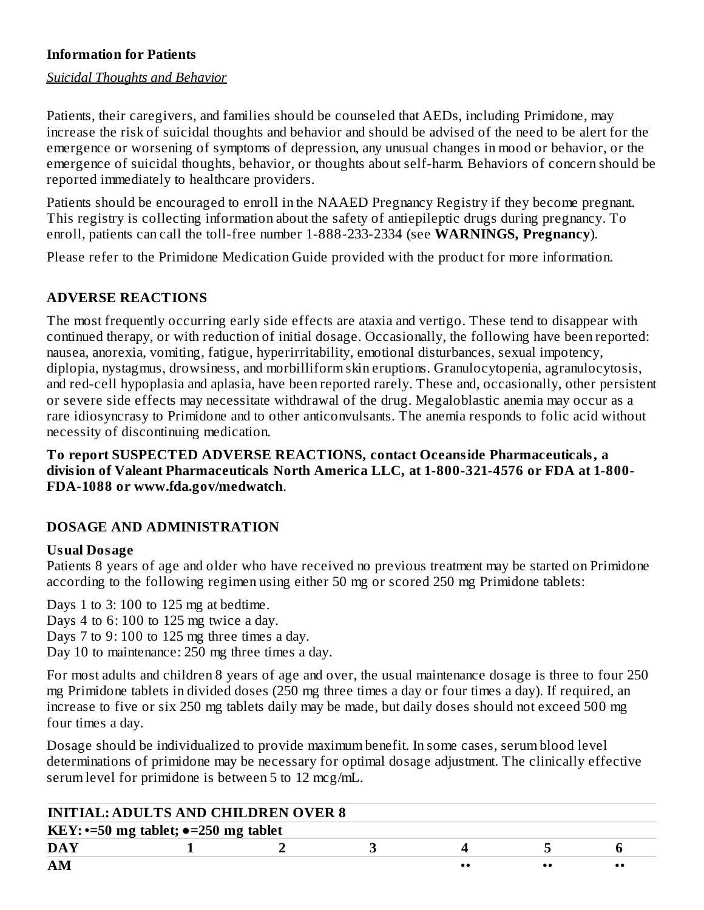## **Information for Patients**

#### *Suicidal Thoughts and Behavior*

Patients, their caregivers, and families should be counseled that AEDs, including Primidone, may increase the risk of suicidal thoughts and behavior and should be advised of the need to be alert for the emergence or worsening of symptoms of depression, any unusual changes in mood or behavior, or the emergence of suicidal thoughts, behavior, or thoughts about self-harm. Behaviors of concern should be reported immediately to healthcare providers.

Patients should be encouraged to enroll in the NAAED Pregnancy Registry if they become pregnant. This registry is collecting information about the safety of antiepileptic drugs during pregnancy. To enroll, patients can call the toll-free number 1-888-233-2334 (see **WARNINGS, Pregnancy**).

Please refer to the Primidone Medication Guide provided with the product for more information.

## **ADVERSE REACTIONS**

The most frequently occurring early side effects are ataxia and vertigo. These tend to disappear with continued therapy, or with reduction of initial dosage. Occasionally, the following have been reported: nausea, anorexia, vomiting, fatigue, hyperirritability, emotional disturbances, sexual impotency, diplopia, nystagmus, drowsiness, and morbilliform skin eruptions. Granulocytopenia, agranulocytosis, and red-cell hypoplasia and aplasia, have been reported rarely. These and, occasionally, other persistent or severe side effects may necessitate withdrawal of the drug. Megaloblastic anemia may occur as a rare idiosyncrasy to Primidone and to other anticonvulsants. The anemia responds to folic acid without necessity of discontinuing medication.

**To report SUSPECTED ADVERSE REACTIONS, contact Oceanside Pharmaceuticals, a division of Valeant Pharmaceuticals North America LLC, at 1-800-321-4576 or FDA at 1-800- FDA-1088 or www.fda.gov/medwatch**.

## **DOSAGE AND ADMINISTRATION**

#### **Usual Dosage**

Patients 8 years of age and older who have received no previous treatment may be started on Primidone according to the following regimen using either 50 mg or scored 250 mg Primidone tablets:

Days 1 to 3: 100 to 125 mg at bedtime. Days 4 to 6: 100 to 125 mg twice a day. Days 7 to 9: 100 to 125 mg three times a day. Day 10 to maintenance: 250 mg three times a day.

For most adults and children 8 years of age and over, the usual maintenance dosage is three to four 250 mg Primidone tablets in divided doses (250 mg three times a day or four times a day). If required, an increase to five or six 250 mg tablets daily may be made, but daily doses should not exceed 500 mg four times a day.

Dosage should be individualized to provide maximum benefit. In some cases, serum blood level determinations of primidone may be necessary for optimal dosage adjustment. The clinically effective serum level for primidone is between 5 to 12 mcg/mL.

|            | <b>INITIAL: ADULTS AND CHILDREN OVER 8</b>           |  |  |                  |                  |                  |
|------------|------------------------------------------------------|--|--|------------------|------------------|------------------|
|            | KEY: $\cdot$ =50 mg tablet; $\bullet$ =250 mg tablet |  |  |                  |                  |                  |
| <b>DAY</b> |                                                      |  |  |                  |                  |                  |
| AM         |                                                      |  |  | $\bullet\bullet$ | $\bullet\bullet$ | $\bullet\bullet$ |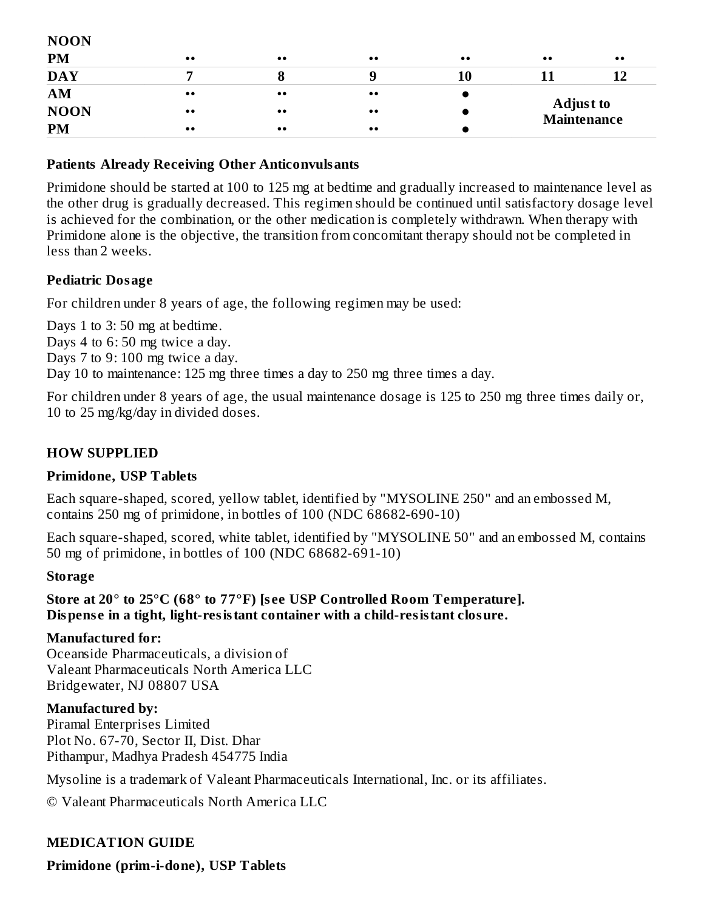| <b>NOON</b> |                  |                  |                  |                  |                    |                  |
|-------------|------------------|------------------|------------------|------------------|--------------------|------------------|
| <b>PM</b>   | $\bullet\bullet$ | $\bullet\bullet$ | $\bullet\bullet$ | $\bullet\bullet$ | $\bullet\bullet$   | $\bullet\bullet$ |
| <b>DAY</b>  |                  |                  |                  | 10               |                    |                  |
| AM          | $\bullet\bullet$ | $\bullet\bullet$ | $\bullet\bullet$ |                  |                    |                  |
| <b>NOON</b> | $\bullet\bullet$ | $\bullet\bullet$ | $\bullet\bullet$ |                  | <b>Adjust to</b>   |                  |
| <b>PM</b>   | $\bullet\bullet$ | $\bullet\bullet$ | $\bullet\bullet$ |                  | <b>Maintenance</b> |                  |

#### **Patients Already Receiving Other Anticonvulsants**

Primidone should be started at 100 to 125 mg at bedtime and gradually increased to maintenance level as the other drug is gradually decreased. This regimen should be continued until satisfactory dosage level is achieved for the combination, or the other medication is completely withdrawn. When therapy with Primidone alone is the objective, the transition from concomitant therapy should not be completed in less than 2 weeks.

## **Pediatric Dosage**

For children under 8 years of age, the following regimen may be used:

Days 1 to 3:50 mg at bedtime.

Days 4 to 6: 50 mg twice a day.

Days 7 to 9: 100 mg twice a day.

Day 10 to maintenance: 125 mg three times a day to 250 mg three times a day.

For children under 8 years of age, the usual maintenance dosage is 125 to 250 mg three times daily or, 10 to 25 mg/kg/day in divided doses.

## **HOW SUPPLIED**

## **Primidone, USP Tablets**

Each square-shaped, scored, yellow tablet, identified by "MYSOLINE 250" and an embossed M, contains 250 mg of primidone, in bottles of 100 (NDC 68682-690-10)

Each square-shaped, scored, white tablet, identified by "MYSOLINE 50" and an embossed M, contains 50 mg of primidone, in bottles of 100 (NDC 68682-691-10)

## **Storage**

#### **Store at 20° to 25°C (68° to 77°F) [s ee USP Controlled Room Temperature]. Dispens e in a tight, light-resistant container with a child-resistant closure.**

## **Manufactured for:**

Oceanside Pharmaceuticals, a division of Valeant Pharmaceuticals North America LLC Bridgewater, NJ 08807 USA

## **Manufactured by:**

Piramal Enterprises Limited Plot No. 67-70, Sector II, Dist. Dhar Pithampur, Madhya Pradesh 454775 India

Mysoline is a trademark of Valeant Pharmaceuticals International, Inc. or its affiliates.

© Valeant Pharmaceuticals North America LLC

## **MEDICATION GUIDE**

**Primidone (prim-i-done), USP Tablets**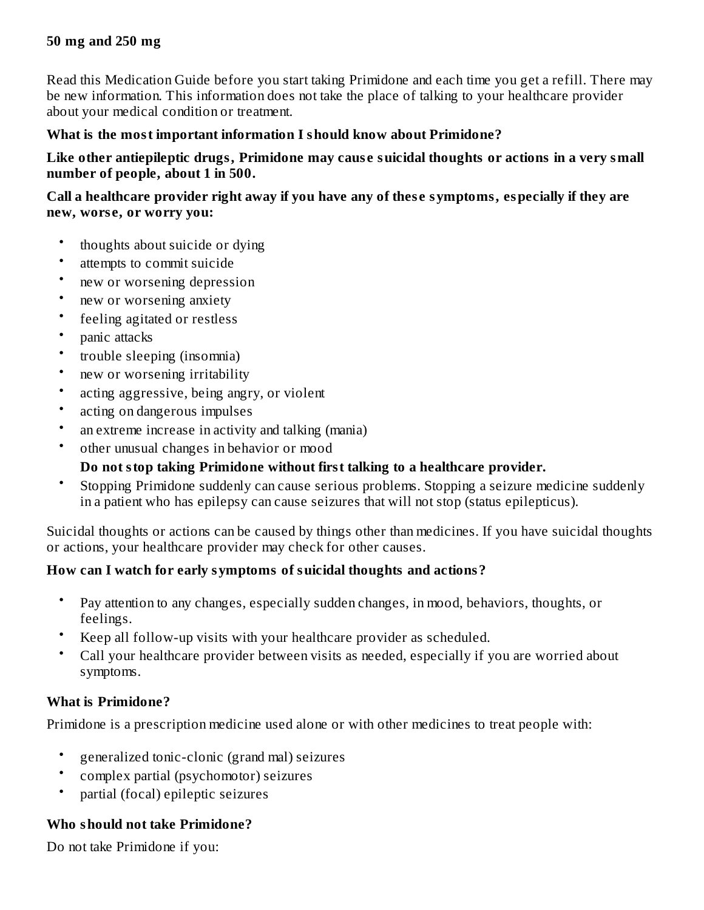## **50 mg and 250 mg**

Read this Medication Guide before you start taking Primidone and each time you get a refill. There may be new information. This information does not take the place of talking to your healthcare provider about your medical condition or treatment.

#### **What is the most important information I should know about Primidone?**

**Like other antiepileptic drugs, Primidone may caus e suicidal thoughts or actions in a very small number of people, about 1 in 500.**

**Call a healthcare provider right away if you have any of thes e symptoms, especially if they are new, wors e, or worry you:**

- thoughts about suicide or dying
- attempts to commit suicide
- new or worsening depression
- new or worsening anxiety
- feeling agitated or restless
- panic attacks
- trouble sleeping (insomnia)
- new or worsening irritability
- acting aggressive, being angry, or violent
- acting on dangerous impulses
- an extreme increase in activity and talking (mania)
- other unusual changes in behavior or mood

#### **Do not stop taking Primidone without first talking to a healthcare provider.**

• Stopping Primidone suddenly can cause serious problems. Stopping a seizure medicine suddenly in a patient who has epilepsy can cause seizures that will not stop (status epilepticus).

Suicidal thoughts or actions can be caused by things other than medicines. If you have suicidal thoughts or actions, your healthcare provider may check for other causes.

#### **How can I watch for early symptoms of suicidal thoughts and actions?**

- Pay attention to any changes, especially sudden changes, in mood, behaviors, thoughts, or feelings.
- Keep all follow-up visits with your healthcare provider as scheduled.
- Call your healthcare provider between visits as needed, especially if you are worried about symptoms.

## **What is Primidone?**

Primidone is a prescription medicine used alone or with other medicines to treat people with:

- generalized tonic-clonic (grand mal) seizures
- complex partial (psychomotor) seizures
- partial (focal) epileptic seizures

## **Who should not take Primidone?**

Do not take Primidone if you: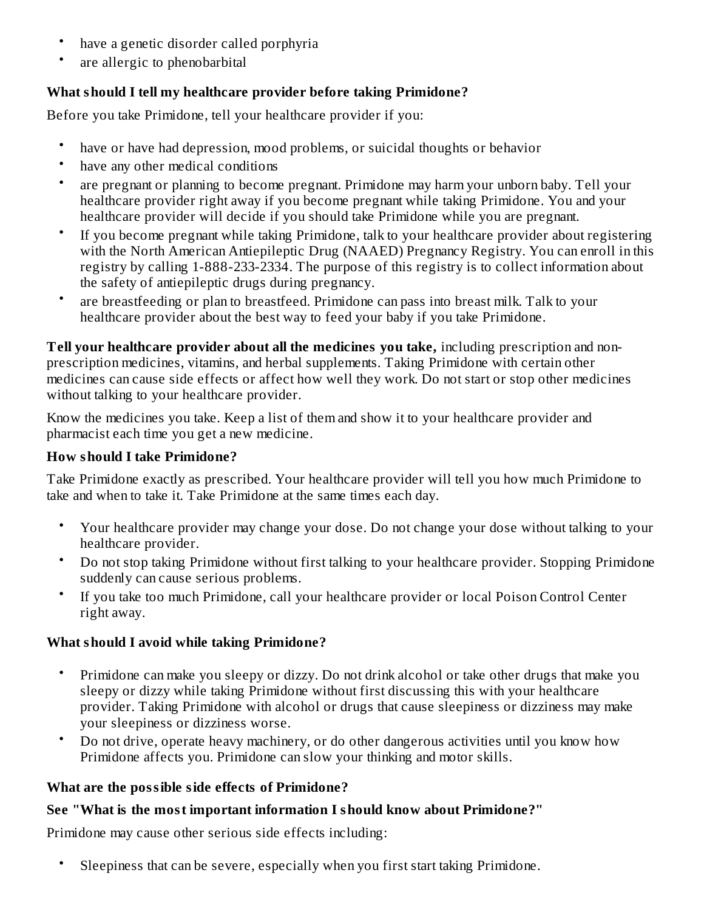- have a genetic disorder called porphyria
- are allergic to phenobarbital

# **What should I tell my healthcare provider before taking Primidone?**

Before you take Primidone, tell your healthcare provider if you:

- have or have had depression, mood problems, or suicidal thoughts or behavior
- have any other medical conditions
- are pregnant or planning to become pregnant. Primidone may harm your unborn baby. Tell your healthcare provider right away if you become pregnant while taking Primidone. You and your healthcare provider will decide if you should take Primidone while you are pregnant.
- If you become pregnant while taking Primidone, talk to your healthcare provider about registering with the North American Antiepileptic Drug (NAAED) Pregnancy Registry. You can enroll in this registry by calling 1-888-233-2334. The purpose of this registry is to collect information about the safety of antiepileptic drugs during pregnancy.
- are breastfeeding or plan to breastfeed. Primidone can pass into breast milk. Talk to your healthcare provider about the best way to feed your baby if you take Primidone.

**Tell your healthcare provider about all the medicines you take,** including prescription and nonprescription medicines, vitamins, and herbal supplements. Taking Primidone with certain other medicines can cause side effects or affect how well they work. Do not start or stop other medicines without talking to your healthcare provider.

Know the medicines you take. Keep a list of them and show it to your healthcare provider and pharmacist each time you get a new medicine.

# **How should I take Primidone?**

Take Primidone exactly as prescribed. Your healthcare provider will tell you how much Primidone to take and when to take it. Take Primidone at the same times each day.

- Your healthcare provider may change your dose. Do not change your dose without talking to your healthcare provider.
- Do not stop taking Primidone without first talking to your healthcare provider. Stopping Primidone suddenly can cause serious problems.
- If you take too much Primidone, call your healthcare provider or local Poison Control Center right away.

# **What should I avoid while taking Primidone?**

- Primidone can make you sleepy or dizzy. Do not drink alcohol or take other drugs that make you sleepy or dizzy while taking Primidone without first discussing this with your healthcare provider. Taking Primidone with alcohol or drugs that cause sleepiness or dizziness may make your sleepiness or dizziness worse.
- Do not drive, operate heavy machinery, or do other dangerous activities until you know how Primidone affects you. Primidone can slow your thinking and motor skills.

# **What are the possible side effects of Primidone?**

# **See "What is the most important information I should know about Primidone?"**

Primidone may cause other serious side effects including:

• Sleepiness that can be severe, especially when you first start taking Primidone.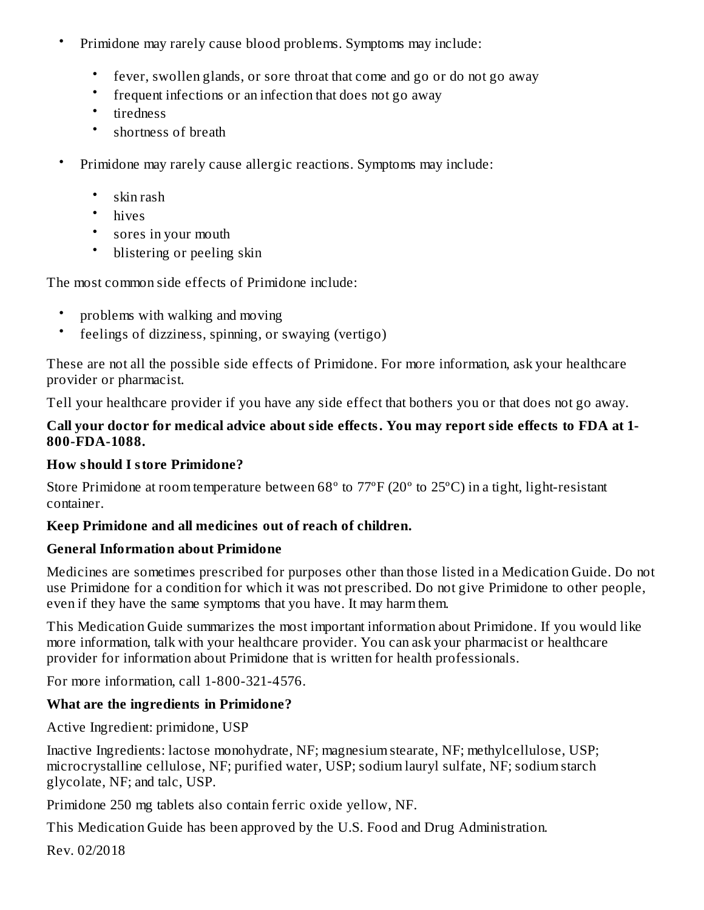- Primidone may rarely cause blood problems. Symptoms may include:
	- fever, swollen glands, or sore throat that come and go or do not go away
	- frequent infections or an infection that does not go away
	- tiredness
	- shortness of breath
- Primidone may rarely cause allergic reactions. Symptoms may include:
	- skin rash
	- hives
	- sores in your mouth
	- blistering or peeling skin

The most common side effects of Primidone include:

- problems with walking and moving
- feelings of dizziness, spinning, or swaying (vertigo)

These are not all the possible side effects of Primidone. For more information, ask your healthcare provider or pharmacist.

Tell your healthcare provider if you have any side effect that bothers you or that does not go away.

## **Call your doctor for medical advice about side effects. You may report side effects to FDA at 1- 800-FDA-1088.**

## **How should I store Primidone?**

Store Primidone at room temperature between 68º to 77ºF (20º to 25ºC) in a tight, light-resistant container.

## **Keep Primidone and all medicines out of reach of children.**

## **General Information about Primidone**

Medicines are sometimes prescribed for purposes other than those listed in a Medication Guide. Do not use Primidone for a condition for which it was not prescribed. Do not give Primidone to other people, even if they have the same symptoms that you have. It may harm them.

This Medication Guide summarizes the most important information about Primidone. If you would like more information, talk with your healthcare provider. You can ask your pharmacist or healthcare provider for information about Primidone that is written for health professionals.

For more information, call 1-800-321-4576.

# **What are the ingredients in Primidone?**

Active Ingredient: primidone, USP

Inactive Ingredients: lactose monohydrate, NF; magnesium stearate, NF; methylcellulose, USP; microcrystalline cellulose, NF; purified water, USP; sodium lauryl sulfate, NF; sodium starch glycolate, NF; and talc, USP.

Primidone 250 mg tablets also contain ferric oxide yellow, NF.

This Medication Guide has been approved by the U.S. Food and Drug Administration.

Rev. 02/2018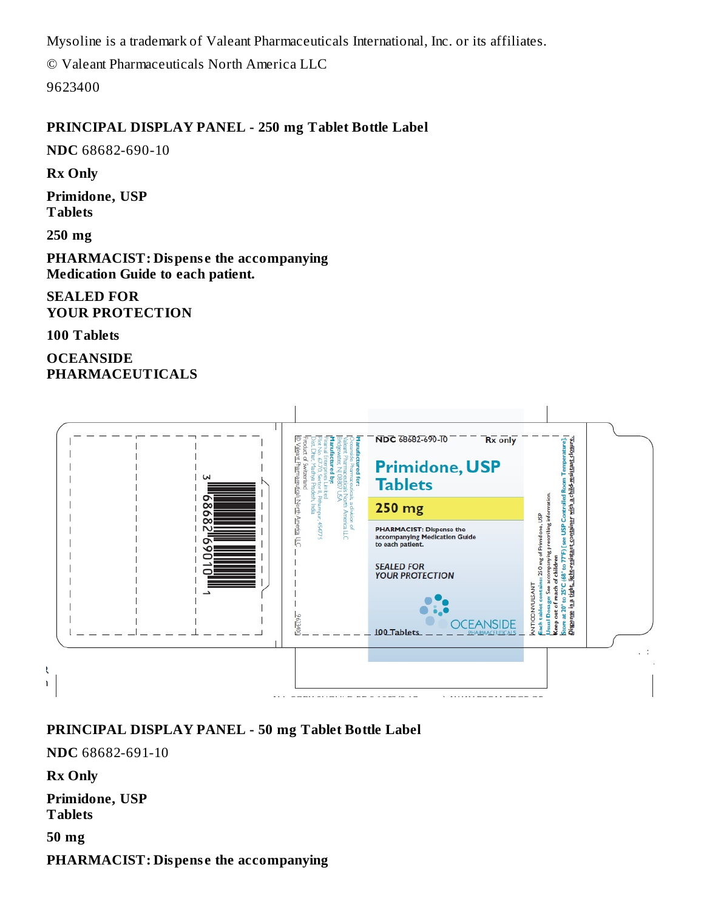Mysoline is a trademark of Valeant Pharmaceuticals International, Inc. or its affiliates.

© Valeant Pharmaceuticals North America LLC 9623400

## **PRINCIPAL DISPLAY PANEL - 250 mg Tablet Bottle Label**

**NDC** 68682-690-10

**Rx Only**

**Primidone, USP Tablets**

**250 mg**

**PHARMACIST: Dispens e the accompanying Medication Guide to each patient.**

**SEALED FOR YOUR PROTECTION**

**100 Tablets**

**OCEANSIDE PHARMACEUTICALS**



# **PRINCIPAL DISPLAY PANEL - 50 mg Tablet Bottle Label**

**NDC** 68682-691-10

**Rx Only**

**Primidone, USP Tablets**

**50 mg**

**PHARMACIST: Dispens e the accompanying**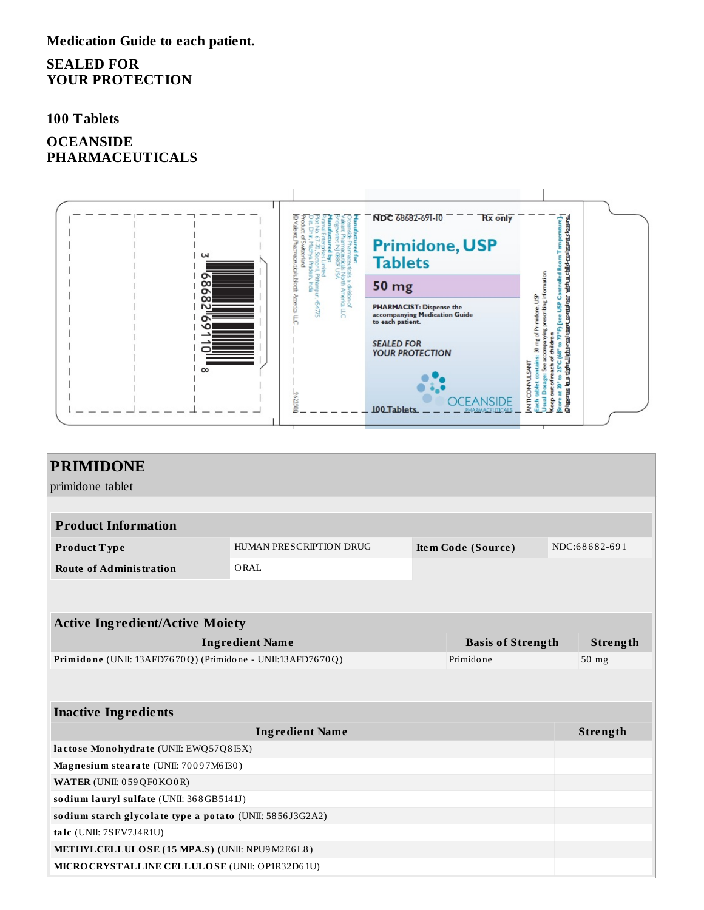**Medication Guide to each patient.**

#### **SEALED FOR YOUR PROTECTION**

**100 Tablets**

#### **OCEANSIDE PHARMACEUTICALS**



| <b>PRIMIDONE</b>                                           |                         |                          |               |  |  |
|------------------------------------------------------------|-------------------------|--------------------------|---------------|--|--|
| primidone tablet                                           |                         |                          |               |  |  |
|                                                            |                         |                          |               |  |  |
| <b>Product Information</b>                                 |                         |                          |               |  |  |
| Product Type                                               | HUMAN PRESCRIPTION DRUG | Item Code (Source)       | NDC:68682-691 |  |  |
| <b>Route of Administration</b>                             | ORAL                    |                          |               |  |  |
|                                                            |                         |                          |               |  |  |
|                                                            |                         |                          |               |  |  |
| <b>Active Ingredient/Active Moiety</b>                     |                         |                          |               |  |  |
|                                                            | <b>Ingredient Name</b>  | <b>Basis of Strength</b> | Strength      |  |  |
| Primidone (UNII: 13AFD7670Q) (Primidone - UNII:13AFD7670Q) |                         | Primidone                | 50 mg         |  |  |
|                                                            |                         |                          |               |  |  |
|                                                            |                         |                          |               |  |  |
| <b>Inactive Ingredients</b>                                |                         |                          |               |  |  |
|                                                            | <b>Ingredient Name</b>  |                          | Strength      |  |  |
| lactose Monohydrate (UNII: EWQ57Q8I5X)                     |                         |                          |               |  |  |
| Magnesium stearate (UNII: 70097M6I30)                      |                         |                          |               |  |  |
| WATER (UNII: 059QF0KO0R)                                   |                         |                          |               |  |  |
| sodium lauryl sulfate (UNII: 368GB5141J)                   |                         |                          |               |  |  |
| sodium starch glycolate type a potato (UNII: 5856J3G2A2)   |                         |                          |               |  |  |
| talc (UNII: 7SEV7J4R1U)                                    |                         |                          |               |  |  |
| METHYLCELLULOSE (15 MPA.S) (UNII: NPU9M2E6L8)              |                         |                          |               |  |  |
| MICRO CRYSTALLINE CELLULO SE (UNII: OP1R32D61U)            |                         |                          |               |  |  |
|                                                            |                         |                          |               |  |  |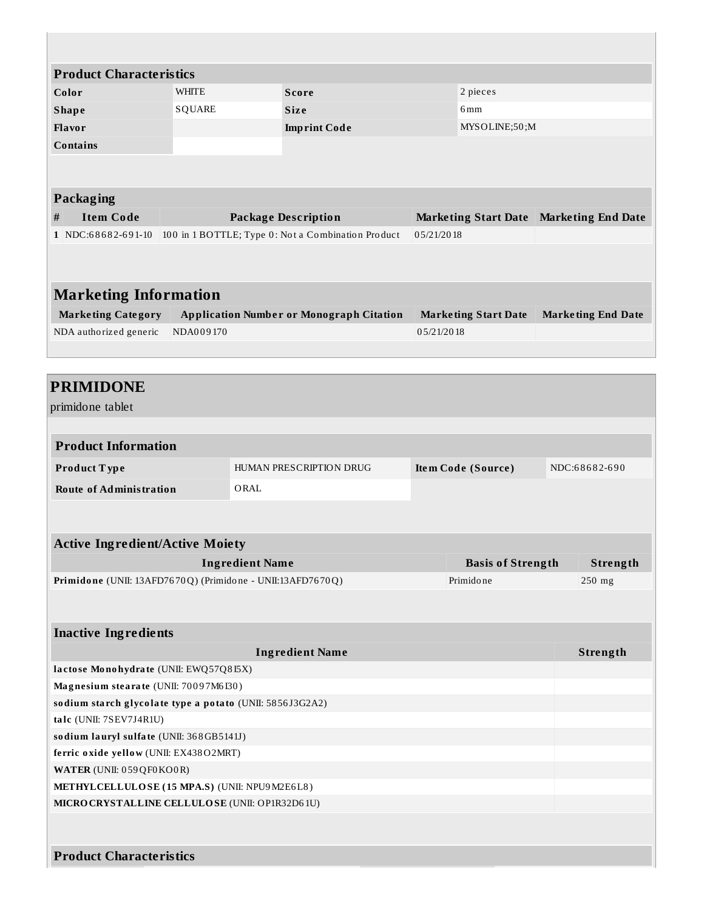|              | <b>Product Characteristics</b> |              |                                                    |            |                             |                                         |
|--------------|--------------------------------|--------------|----------------------------------------------------|------------|-----------------------------|-----------------------------------------|
| Color        |                                | <b>WHITE</b> | <b>Score</b>                                       |            | 2 pieces                    |                                         |
| <b>Shape</b> |                                | SQUARE       | <b>Size</b>                                        |            | 6mm                         |                                         |
| Flavor       |                                |              | <b>Imprint Code</b>                                |            | MYSOLINE;50;M               |                                         |
| Contains     |                                |              |                                                    |            |                             |                                         |
|              |                                |              |                                                    |            |                             |                                         |
|              | Packaging                      |              |                                                    |            |                             |                                         |
| $\#$         | <b>Item Code</b>               |              | <b>Package Description</b>                         |            |                             | Marketing Start Date Marketing End Date |
|              | 1 NDC:68682-691-10             |              | 100 in 1 BOTTLE; Type 0: Not a Combination Product | 05/21/2018 |                             |                                         |
|              |                                |              |                                                    |            |                             |                                         |
|              |                                |              |                                                    |            |                             |                                         |
|              | <b>Marketing Information</b>   |              |                                                    |            |                             |                                         |
|              | <b>Marketing Category</b>      |              | <b>Application Number or Monograph Citation</b>    |            | <b>Marketing Start Date</b> | <b>Marketing End Date</b>               |
|              | NDA authorized generic         | NDA009170    |                                                    | 05/21/2018 |                             |                                         |
|              |                                |              |                                                    |            |                             |                                         |
|              |                                |              |                                                    |            |                             |                                         |
|              | <b>PRIMIDONE</b>               |              |                                                    |            |                             |                                         |
|              | primidone tablet               |              |                                                    |            |                             |                                         |
|              |                                |              |                                                    |            |                             |                                         |
|              | <b>Product Information</b>     |              |                                                    |            |                             |                                         |
|              |                                |              |                                                    |            |                             |                                         |

| <b>Product Type</b>     | HUMAN PRESCRIPTION DRUG | Item Code (Source) | NDC:68682-690 |
|-------------------------|-------------------------|--------------------|---------------|
| Route of Administration | ORAL                    |                    |               |

| <b>Active Ingredient/Active Moiety</b>                     |                          |                 |
|------------------------------------------------------------|--------------------------|-----------------|
| <b>Ingredient Name</b>                                     | <b>Basis of Strength</b> | <b>Strength</b> |
| Primidone (UNII: 13AFD7670Q) (Primidone - UNII:13AFD7670Q) | Primidone                | $250$ mg        |
|                                                            |                          |                 |
| <b>Inactive Ingredients</b>                                |                          |                 |
| <b>Ingredient Name</b>                                     |                          | <b>Strength</b> |
| lactose Monohydrate (UNII: EWQ57Q8I5X)                     |                          |                 |
| Magnesium stearate (UNII: 70097M6I30)                      |                          |                 |
| sodium starch glycolate type a potato (UNII: 5856J3G2A2)   |                          |                 |
| talc (UNII: 7SEV7J4R1U)                                    |                          |                 |
| sodium lauryl sulfate (UNII: 368GB5141J)                   |                          |                 |
| ferric oxide yellow (UNII: EX438O2MRT)                     |                          |                 |
| <b>WATER</b> (UNII: 059 QF0 KO0 R)                         |                          |                 |
| METHYLCELLULOSE (15 MPA.S) (UNII: NPU9 M2E6L8)             |                          |                 |
| MICRO CRYSTALLINE CELLULO SE (UNII: OP1R32D61U)            |                          |                 |
|                                                            |                          |                 |
| <b>Product Characteristics</b>                             |                          |                 |